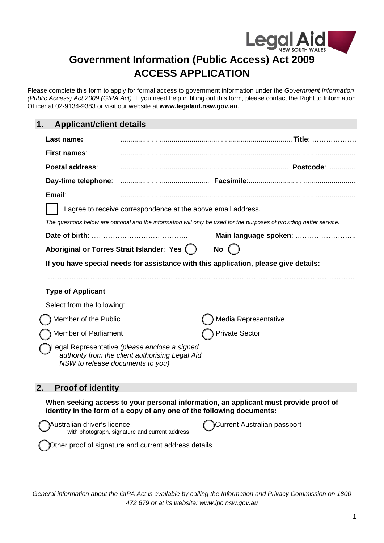

# **Government Information (Public Access) Act 2009 ACCESS APPLICATION**

Please complete this form to apply for formal access to government information under the *Government Information (Public Access) Act 2009 (GIPA Act)*. If you need help in filling out this form, please contact the Right to Information Officer at 02-9134-9383 or visit our website at **www.legalaid.nsw.gov.au**.

## **1. Applicant/client details**

| Last name:                       |                                                                                                  |                                                                                                                      |
|----------------------------------|--------------------------------------------------------------------------------------------------|----------------------------------------------------------------------------------------------------------------------|
| First names:                     |                                                                                                  |                                                                                                                      |
| Postal address:                  |                                                                                                  |                                                                                                                      |
| Day-time telephone:              |                                                                                                  |                                                                                                                      |
| Email:                           |                                                                                                  |                                                                                                                      |
|                                  | I agree to receive correspondence at the above email address.                                    |                                                                                                                      |
|                                  |                                                                                                  | The questions below are optional and the information will only be used for the purposes of providing better service. |
| Date of birth:                   |                                                                                                  | Main language spoken:                                                                                                |
|                                  | Aboriginal or Torres Strait Islander: Yes (                                                      | No                                                                                                                   |
|                                  |                                                                                                  | If you have special needs for assistance with this application, please give details:                                 |
|                                  |                                                                                                  |                                                                                                                      |
| <b>Type of Applicant</b>         |                                                                                                  |                                                                                                                      |
| Select from the following:       |                                                                                                  |                                                                                                                      |
| Member of the Public             |                                                                                                  | Media Representative                                                                                                 |
| Member of Parliament             |                                                                                                  | <b>Private Sector</b>                                                                                                |
| NSW to release documents to you) | Legal Representative (please enclose a signed<br>authority from the client authorising Legal Aid |                                                                                                                      |

## **2. Proof of identity**

**When seeking access to your personal information, an applicant must provide proof of identity in the form of a copy of any one of the following documents:**

 Australian driver's licence with photograph, signature and current address

Current Australian passport

Other proof of signature and current address details

*General information about the GIPA Act is available by calling the Information and Privacy Commission on 1800 472 679 or at its website: www.ipc.nsw.gov.au*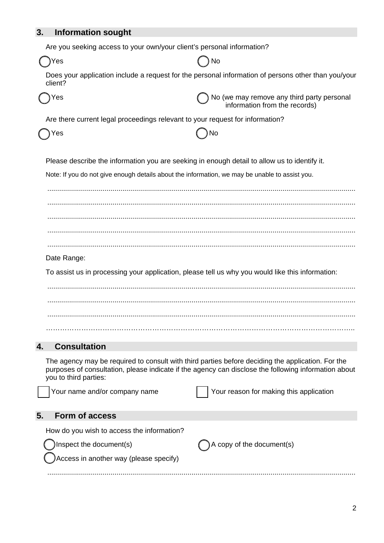## **3. Information sought**

Are you seeking access to your own/your client's personal information?

| Yes                                                                                            |                                                                                                                                                                                                           |
|------------------------------------------------------------------------------------------------|-----------------------------------------------------------------------------------------------------------------------------------------------------------------------------------------------------------|
| client?                                                                                        | Does your application include a request for the personal information of persons other than you/your                                                                                                       |
| Yes                                                                                            | No (we may remove any third party personal<br>information from the records)                                                                                                                               |
| Are there current legal proceedings relevant to your request for information?                  |                                                                                                                                                                                                           |
| Yes                                                                                            | No                                                                                                                                                                                                        |
| Please describe the information you are seeking in enough detail to allow us to identify it.   |                                                                                                                                                                                                           |
| Note: If you do not give enough details about the information, we may be unable to assist you. |                                                                                                                                                                                                           |
|                                                                                                |                                                                                                                                                                                                           |
|                                                                                                |                                                                                                                                                                                                           |
|                                                                                                |                                                                                                                                                                                                           |
|                                                                                                |                                                                                                                                                                                                           |
| Date Range:                                                                                    |                                                                                                                                                                                                           |
|                                                                                                | To assist us in processing your application, please tell us why you would like this information:                                                                                                          |
|                                                                                                |                                                                                                                                                                                                           |
|                                                                                                |                                                                                                                                                                                                           |
|                                                                                                |                                                                                                                                                                                                           |
|                                                                                                |                                                                                                                                                                                                           |
| <b>Consultation</b><br>4.                                                                      |                                                                                                                                                                                                           |
| you to third parties:                                                                          | The agency may be required to consult with third parties before deciding the application. For the<br>purposes of consultation, please indicate if the agency can disclose the following information about |
| Your name and/or company name                                                                  | Your reason for making this application                                                                                                                                                                   |
| 5.<br><b>Form of access</b>                                                                    |                                                                                                                                                                                                           |
| How do you wish to access the information?                                                     |                                                                                                                                                                                                           |

Inspect the document(s)  $\bigcap A$  copy of the document(s)

............................................................................................................................................................

Access in another way (please specify)